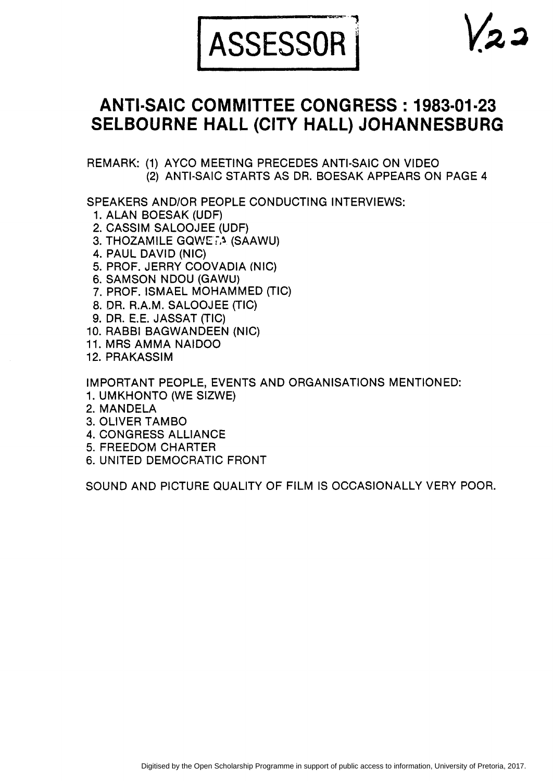

# **ANTI·SAIC COMMITTEE CONGRESS: 1983·01·23 SELBOURNE HALL (CITY HALL) JOHANNESBURG**

REMARK: (1) AYCO MEETING PRECEDES ANTI·SAIC ON VIDEO (2) ANTI·SAIC STARTS AS DR. BOESAK APPEARS ON PAGE 4

SPEAKERS AND/OR PEOPLE CONDUCTING INTERVIEWS:

- 1. ALAN BOESAK (UDF)
- 2. CASSIM SALOOJEE (UDF)
- 3. THOZAMILE GQWEi.~ (SAAWU)
- 4. PAUL DAVID (NIC)
- 5. PROF. JERRY COOVADIA (NIC)
- 6. SAMSON NDOU (GAWU)
- 7. PROF. ISMAEL MOHAMMED (TIC)
- 8. DR. R.A.M. SALOOJEE (TIC)
- 9. DR. E.E. JASSAT (TIC)
- 10. RABBI BAGWANDEEN (NIC)
- 11. MRS AMMA NAIDOO
- 12. PRAKASSIM

IMPORTANT PEOPLE, EVENTS AND ORGANISATIONS MENTIONED:

- 1. UMKHONTO (WE SIZWE)
- 2. MANDELA
- **3. OLIVER TAMBO**
- 4. CONGRESS ALLIANCE
- 5. FREEDOM CHARTER
- 6. UNITED DEMOCRATIC FRONT

SOUND AND PICTURE QUALITY OF FILM IS OCCASIONALLY VERY POOR.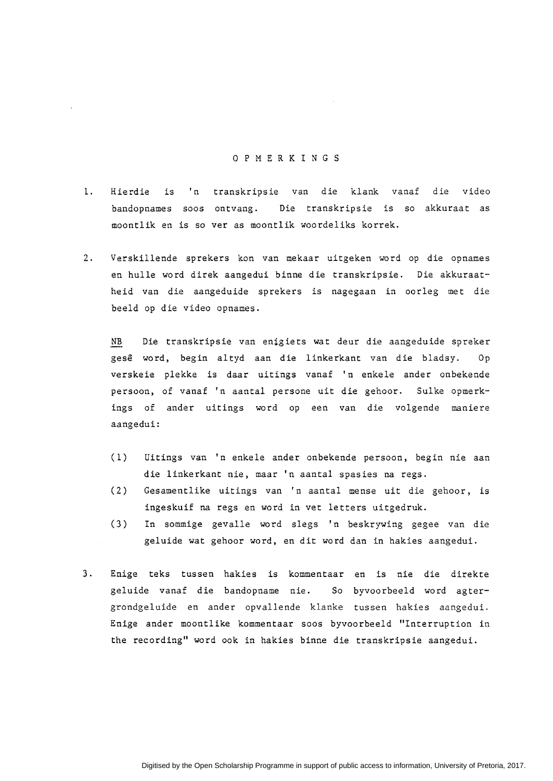## 0 P M E R K I N G S

- l. Hierdie is 'n transkripsie van die klank vanaf die video bandopnames soos ontvang. Die transkripsie is so akkuraat as moontlik en is so ver as moontlik woordeliks korrek.
- 2. Verskillende sprekers kon van mekaar uitgeken word op die opnames en hulle word direk aangedui binne die transkripsie. Die akkuraatheid van die aangeduide sprekers is nagegaan in oorleg met die beeld op die video opnames.

NB Die transkripsie van enigiets wat deur die aangeduide spreker gese word, begin altyd aan die linkerkant van die bladsy. Op verskeie plekke is daar uitings vanaf 'n enkele ander onbekende persoon, of vanaf 'n aantal persone uit die gehoor. Sulke opmerkings of ander uitings word op een van die volgende maniere aangedui:

- (1) Uitings van 'n enkele ander onbekende persoon, begin nie aan die linkerkant nie, maar 'n aantal spasies na regs.
- ( 2) Gesamentlike uitings van 1 n aantal mense uit die gehoor, is ingeskuif na regs en word in vet letters uitgedruk.
- (3) In sommige gevalle word slegs 1 n beskrywing gegee van die geluide wat gehoor word, en dit word dan in hakies aangedui.
- 3. Enige teks tussen hakies is kommentaar en is nie die direkte geluide vanaf die bandopname nie. So byvoorbeeld word agtergrondgeluide en ander opvallende klanke tussen hakies aangedui. Enige ander moontlike kommentaar soos byvoorbeeld "Interruption in the recording" word oak in hakies binne die transkripsie aangedui.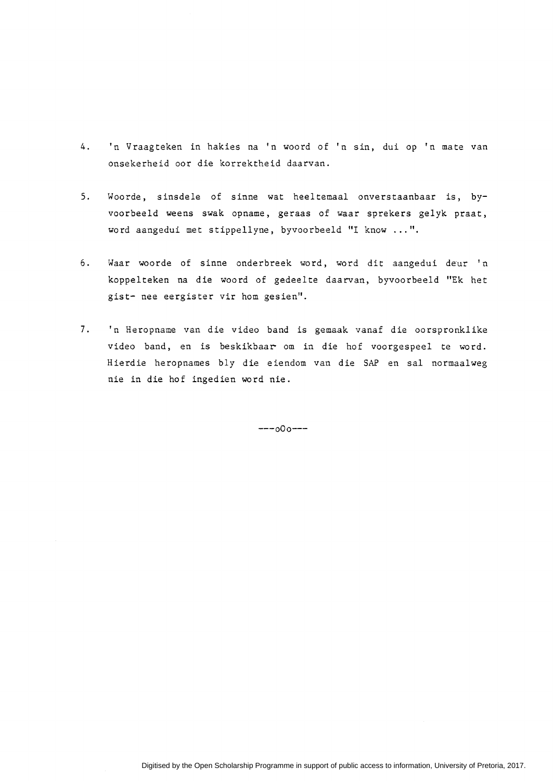- 4. 'n Vraagteken in hakies na 'n woord of 'n sin, dui op 'n mate van onsekerheid oar die korrektheid daarvan.
- 5. Woorde, sinsdele of sinne wat heeltemaal onverstaanbaar is, byvoorbeeld weens swak opname, geraas of waar sprekers gelyk praat, word aangedui met stippellyne, byvoorbeeld "I know ... ".
- 6. Waar woorde of sinne onderbreek word, word dit aangedui deur 'n koppelteken na die woord of gedeelte daarvan, byvoorbeeld "Ek het gist- nee eergister vir hom gesien".
- 7. 'n Heropname van die video band is gemaak vanaf die oorspronklike video band, en is beskikbaar om in die hof voorgespeel te word. Hierdie heropnames bly die eiendom van die SAP en sal normaalweg nie in die hof ingedien word nie.

 $---000---$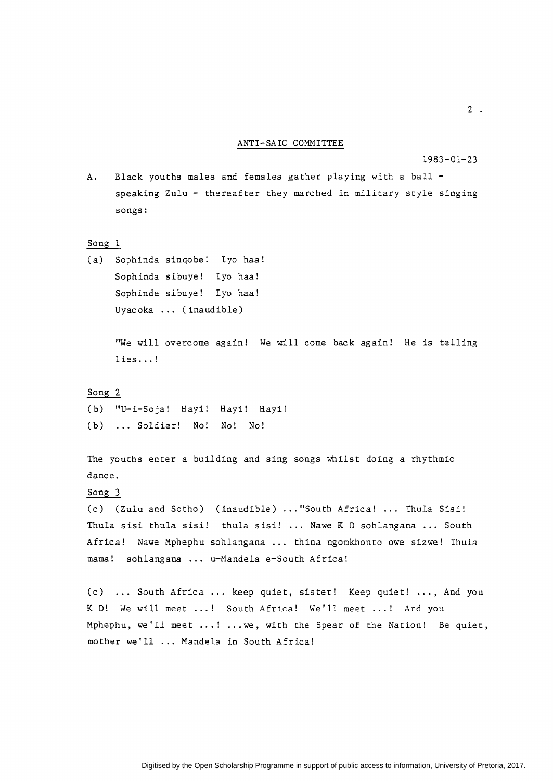#### ANTI-SAIC COMMITTEE

1983-01-23

A. Black youths males and females gather playing with a ball speaking Zulu - thereafter they marched in military style singing songs:

#### <u>Song 1</u>

(a) Sophinda sinqobe! Iyo haa! Sophinda sibuye! Iyo haa! Sophinde sibuye! Iyo haa! Uyacoka ... (inaudible)

> "We will overcome again! We will come back again! He is telling lies ... !

#### <u>Song 2</u>

(b) "U-i-Soja! Hayi! Hayi! Hayi! (b) ... Soldier! No! No! No!

The youths enter a building and sing songs whilst doing a rhythmic dance.

# Song 3

(c) (Zulu and Sotho) (inaudible) ... "South Africa! ... Thula Sisi! Thula sisi thula sisi! thula sisi! ... Nawe K D sohlangana ... South Africa! Nawe Mphephu sohlangana ... thina ngomkhonto owe sizwe! Thula mama! sohlangana ... u-Mandela e-South Africa!

(c) ... South Africa ... keep quiet, sister! Keep quiet! ..., And you K D! We will meet ...! South Africa! We'll meet ...! And you Mphephu, we'll meet ... ! ... we, with the Spear of the Nation! Be quiet, mother we'll ... Mandela in South Africa!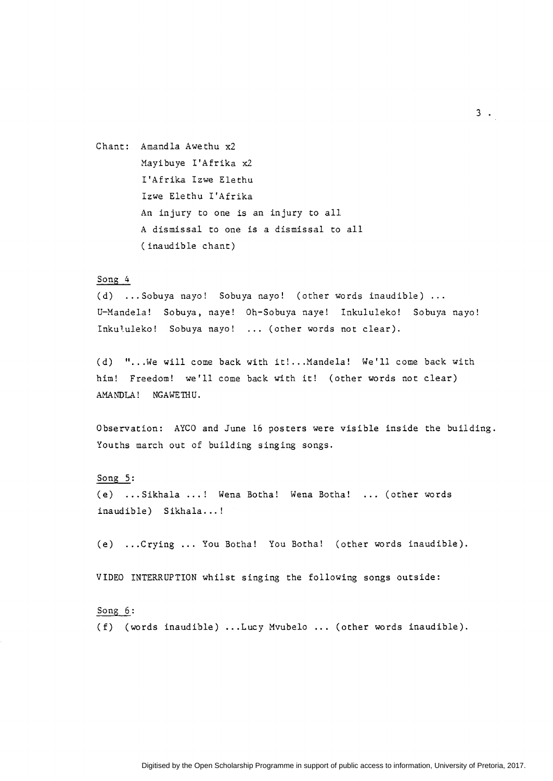Chant: Amandla Awethu x2 Mayibuye I'Afrika x2 I'Afrika Izwe Elethu Izwe Elethu I'Afrika An injury to one is an injury to all A dismissal to one is a dismissal to all (inaudible chant)

# Song 4

(d) ... Sobuya nayo! Sobuya nayo! (other words inaudible) ... U-Mandela! Sobuya, naye! Oh-Sobuya naye! Inkululeko! Sobuya nayo! Inkululeko! Sobuya nayo! ... (other words not clear).

(d) "...We will come back with it!... Mandela! We'll come back with him! Freedom! we'll come back with it! (other words not clear) AMANDLA! NGAWETHU.

Observation: AYCO and June 16 posters were visible inside the building. Youths march out of building singing songs.

#### Song 5:

(e) ... Sikhala ... ! Wena Botha! Wena Botha! ... (other words inaudible) Sikhala...!

(e) ... Crying ... You Botha! You Botha! (other words inaudible).

VIDEO INTERRUPTION whilst singing the following songs outside:

## Song 6:

(f) (words inaudible) ... Lucy Mvubelo ... (other words inaudible).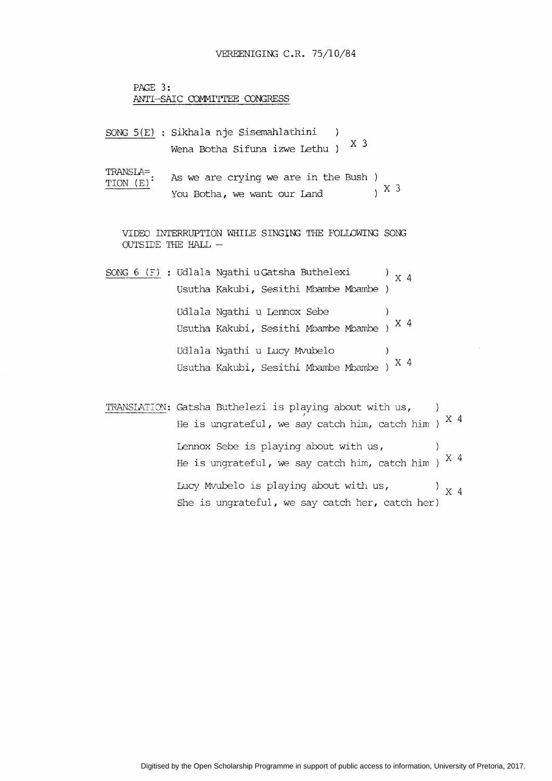```
PAGE 3: 
ANTI-SAIC COMMITTEE CONGRESS
```
- SONG S(E) Sikhala nje Sisemahlathini -1 Wena Botha Sifuna izwe Lethu  $X$  3
- TRANSLA= TION (E). As we are crying we are in the Bush You Botha, we want our Land  $X = \begin{pmatrix} 0 & X & 3 \\ 0 & X & 3 \end{pmatrix}$

VIDED INTERRUPTION WHILE SINGING THE FOLLOWING SONG OUTSIDE THE HALL  $-$ 

- SONG 6 (F) : Udlala Ngathi u Gatsha Buthelexi  $'$  x 4 Usutha Kakubi, Sesithi Mbambe Mbambe Udlala Ngathi u Lennox Sebe  $\lambda$ Usutha Kakubi, Sesithi Mbambe Mbambe )  $^\mathrm{X-4}$ Udlala Ngathi u Lucy Mvubelo  $\left( \right)$ Usutha Kakubi, Sesithi Mbambe Mbambe )  $^\mathrm{X}$  4
- TRANSLATION: Gatsha Buthelezi is playing about with us,  $\rightarrow$   $\rightarrow$ He is ungrateful, we say catch him, catch him )  $^{\mathrm{X}$  4 Lennox Sebe is playing about with us,  $\rightarrow$ He is ungrateful, we say catch him, catch him )  $^{\mathrm{X}$   $4}$ Lucy Mvubelo is playing about with us,  $\prime$  x 4 She is ungrateful, we say catch her, catch her)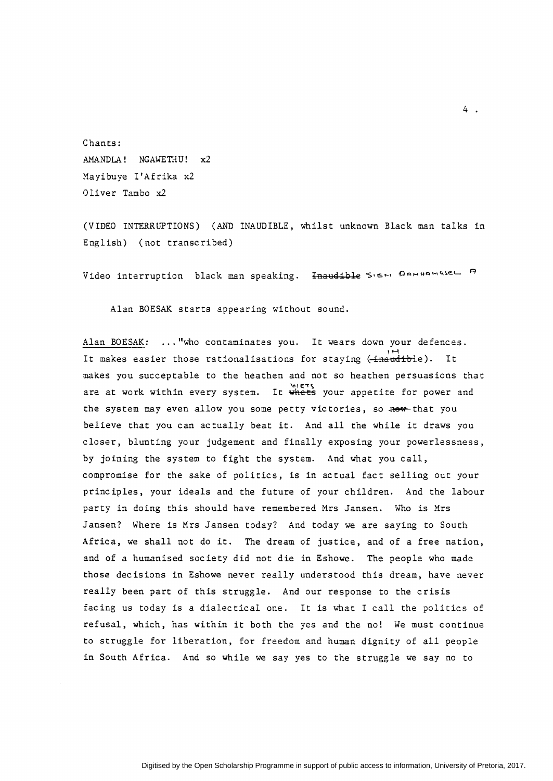Chants: AMANDLA! NGAWETHU! x2 Mayi buye I' Afrika x2 Oliver Tambo x2

(VIDEO INTERRUPTIONS) (AND INAUDIBLE, whilst unknown Black man talks in English) (not transcribed)

Video interruption black man speaking. Inaudible Sieri Derwarisse o

Alan BOESAK starts appearing without sound.

Alan BOESAK: ... "who contaminates you. It wears down your defences. 1H It makes easier those rationalisations for staying ~ inattdible). It makes you succeptable to the heathen and not so heathen persuasions that makes you succeptable to the heathen and not so heathen persuasions that<br>are at work within every system. It whets your appetite for power and the system may even allow you some petty victories, so now that you believe that you can actually beat it. And all the while it draws you closer, blunting your judgement and finally exposing your powerlessness, by joining the system to fight the system. And what you call, compromise for the sake of politics, is in actual fact selling out your principles, your ideals and the future of your children. And the labour party in doing this should have remembered Mrs Jansen. Who is Mrs Jansen? Where is Mrs Jansen today? And today we are saying to South Africa, we shall not do it. The dream of justice, and of a free nation, and of a humanised society did not die in Eshowe. The people who made those decisions in Eshowe never really understood this dream, have never really been part of this struggle. And our response to the crisis facing us today is a dialectical one. It is what I call the politics of refusal, which, has within it both the yes and the no! We must continue to struggle for liberation, for freedom and human dignity of all people in South Africa. And so while we say yes to the struggle we say no to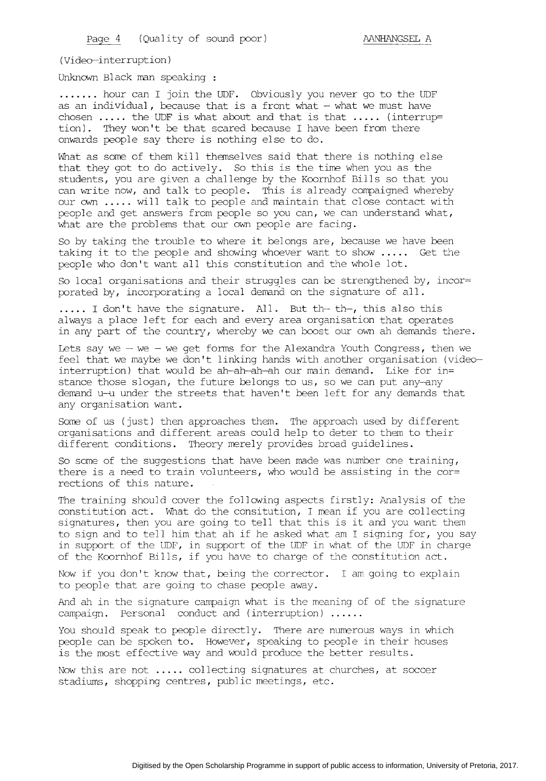(Video-interruption)

Unknown Black man speaking

....... hour can I join the UDF. Obviously you never go to the UDF as an individual, because that is a front what  $-$  what we must have chosen  $\dots$  the UDF is what about and that is that  $\dots$ . (interrup= tion). They won't be that scared because I have been from there onwards people say there is nothing else to do.

What as some of them kill themselves said that there is nothing else that they got to do actively. So this is the time when you as the students, you are given a challenge by the Koornhof Bills so that you can write now, and talk to people. This is already compaigned whereby our own ..... will talk to people and maintain that close contact with people and get answers from people so you can, we can understand what, what are the problems that our own people are facing.

So by taking the trouble to where it belongs are, because we have been taking it to the people and showing whoever want to show ..... Get the people who don't want all this constitution and the whole lot.

So local organisations and their struggles can be strengthened by, incor= porated by, incorporating a local demand on the signature of all .

..... I don't have the signature. All. But th- th-, this also this always a place left for each and every area organisation that operates in any part of the country, whereby we can boost our own ah demands there.

Lets say we  $-$  we  $-$  we get forms for the Alexandra Youth Congress, then we feel that we maybe we don't linking hands with another organisation (videointerruption) that would be ah-ah-ah-ah our main demand. Like for in= stance those slogan, the future belongs to us, so we can put any-any demand u-u under the streets that haven't been left for any demands that any organisation want.

Some of us (just) then approaches them. The approach used by different organisations and different areas could help to deter to them to their different conditions. Theory merely provides broad guidelines.

So some of the suggestions that have been made was number one training, there is a need to train volunteers, who would be assisting in the cor= rections of this nature.

The training should cover the following aspects firstly: Analysis of the constitution act. What do the consitution, I mean if you are collecting signatures, then you are going to tell that this is it and you want them to sign and to tell him that ah if he asked what am I signing for, you say in support of the UDF, in support of the UDF in what of the UDF in charge of the Koornhof Bills, if you have to charge of the constitution act.

Now if you don't know that, being the corrector. I am going to explain to people that are going to chase people away.

And ah in the signature campaign what is the meaning of of the signature campaign. Personal conduct and (interruption) ..... .

You should speak to people directly. There are numerous ways in which people can be spoken to. However, speaking to people in their houses is the most effective way and would produce the better results.

Now this are not ..... collecting signatures at churches, at soccer stadiums, shopping centres, public meetings, etc.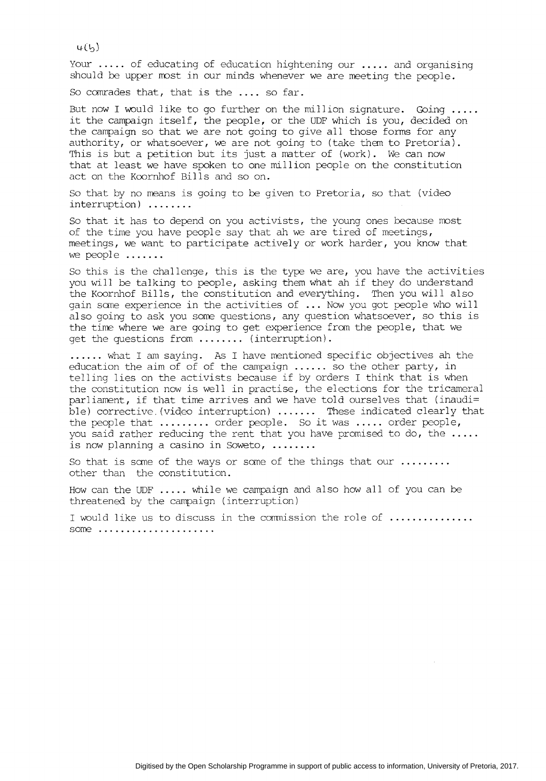$4(h)$ 

Your ..... of educating of education hightening our ..... and organising should be upper most in our minds whenever we are meeting the people.

So comrades that, that is the .... so far.

But now I would like to go further on the million signature. Going ..... it the campaign itself, the people, or the UDF which is you, decided on the campaign so that we are not going to give all those forms for any authority, or whatsoever, we are not going to (take them to Pretoria). This is but a petition but its just a matter of (work). We can now that at least we have spoken to one million people on the constitution act on the Koornhof Bills and so on.

So that by no means is going to be given to Pretoria, so that (video interruption) ....... .

So that it has to depend on you activists, the young ones because most of the time you have people say that ah we are tired of meetings, meetings, we want to participate actively or work harder, you know that we people .......

So this is the challenge, this is the type we are, you have the activities you will be talking to people, asking them what ah if they do understand the Koornhof Bills, the constitution and everything. Then you will also gain some experience in the activities of ... Now you got people who will also going to ask you some questions, any question whatsoever, so this is the time where we are going to get experience from the people, that we get the questions from ........ (interruption) .

...... what I am saying. As I have mentioned specific objectives ah the education the aim of of of the campaign ...... so the other party, in telling lies on the activists because if by orders I think that is when the constitution now is well in practise, the elections for the tricameral parliament, if that time arrives and we have told ourselves that (inaudi= ble) corrective. (video interruption) ....... These indicated clearly that the people that ......... order people. So it was ..... order people, you said rather reducing the rent that you have promised to do, the ..... is now planning a casino in Soweto, ....... .

So that is some of the ways or some of the things that our ........ . other than the constitution.

How can the UDF ..... while we campaign and also how all of you can be threatened by the campaign (interruption)

I would like us to discuss in the commission the role of .............. some ....................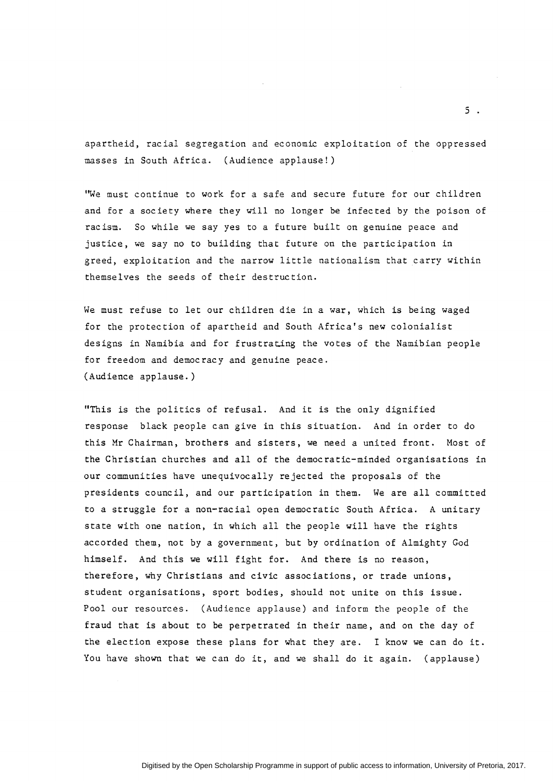apartheid, racial segregation and economic exploitation of the oppressed masses in South Africa. (Audience applause!)

'We must continue to work for a safe and secure future for our children and for a society where they will no longer be infected by the poison of racism. So while we say yes to a future built on genuine peace and justice, we say no to building that future on the participation in greed, exploitation and the narrow little nationalism that carry within themselves the seeds of their destruction.

We must refuse to let our children die in a war, which is being waged for the protection of apartheid and South Africa's new colonialist designs in Namibia and for frustrating the votes of the Namibian people for freedom and democracy and genuine peace. (Audience applause.)

"This is the politics of refusal. And it is the only dignified response black people can give in this situation. And in order to do this Mr Chairman, brothers and sisters, we need a united front. Most of the Christian churches and all of the democratic-minded organisations in our communities have unequivocally rejected the proposals of the presidents council, and our participation in them. We are all committed to a struggle for a non-racial open democratic South Africa. A unitary state with one nation, in which all the people will have the rights accorded them, not by a government, but by ordination of Almighty God himself. And this we will fight for. And there is no reason, therefore, why Christians and civic associations, or trade unions, student organisations, sport bodies, should not unite on this issue. Pool our resources. (Audience applause) and inform the people of the fraud that is about to be perpetrated in their name, and on the day of the election expose these plans for what they are. I know we can do it. You have shown that we can do it, and we shall do it again. (applause)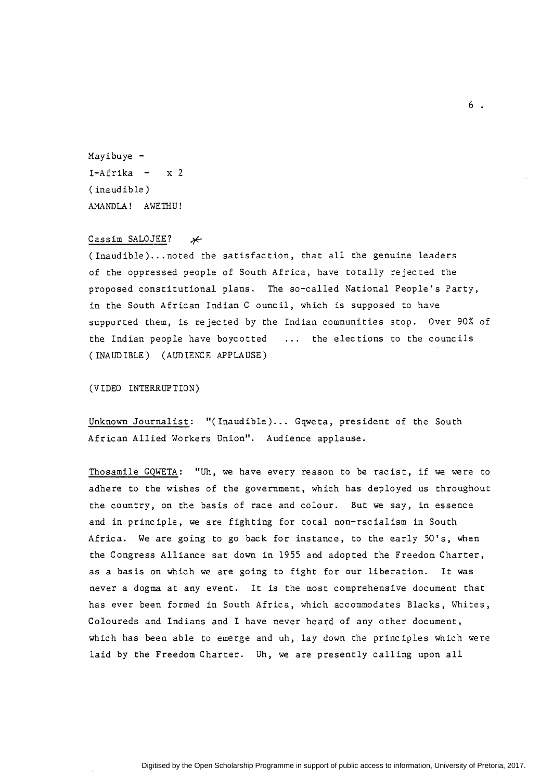Mayibuye -  $I-Afrika - x 2$ (inaudible) AMANDLA! AWETHU!

# Cassim SALOJEE?  $*$

(Inaudible) ... noted the satisfaction, that all the genuine leaders of the oppressed people of South Africa, have totally rejected the proposed constitutional plans. The so-called National People's Party, in the South African Indian C ouncil, which is supposed to have supported them, is rejected by the Indian communities stop. Over 90% of the Indian people have boycotted  $\dots$  the elections to the councils (INAUDIBLE) (AUDIENCE APPLAUSE)

(VIDEO INTERRUPTION)

Unknown Journalist: "(Inaudible)... Gqweta, president of the South African Allied Workers Union". Audience applause.

Thosamile GQWETA: "Uh, we have every reason to be racist, if we were to adhere to the wishes of the government, which has deployed us throughout the country, on the basis of race and colour. But we say, in essence and in principle, we are fighting for total non-racialism in South Africa. We are going to go back for instance, to the early SO's, when the Congress Alliance sat down in 1955 and adopted the Freedom Charter, as a basis on which we are going to fight for our liberation. It was never a dogma at any event. It is the most comprehensive document that has ever been formed in South Africa, which accommodates Blacks, Whites, Coloureds and Indians and I have never heard of any other document, which has been able to emerge and uh, lay down the principles which were laid by the Freedom Charter. Uh, we are presently calling upon all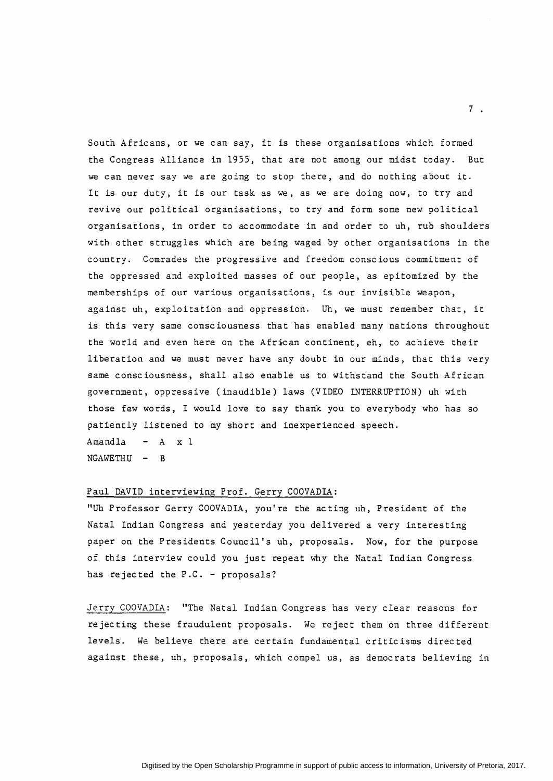South Africans, or we can say, it is these organisations which formed the Congress Alliance in 1955, that are not among our midst today. But we can never say we are going to stop there, and do nothing about it. It is our duty, it is our task as we, as we are doing now, to try and revive our political organisations, to try and form some new political organisations, in order to accommodate in and order to uh, rub shoulders with other struggles which are being waged by other organisations in the country. Comrades the progressive and freedom conscious commitment of the oppressed and exploited masses of our people, as epitomized by the memberships of our various organisations, is our invisible weapon, against uh, exploitation and oppression. Uh, we must remember that, it is this very same consciousness that has enabled many nations throughout the world and even here on the African continent, eh, to achieve their liberation and we must never have any doubt in our minds, that this very same consciousness, shall also enable us to withstand the South African government, oppressive (inaudible) laws (VIDEO INTERRUPTION) uh with those few words, I would love to say thank you to everybody who has so patiently listened to my short and inexperienced speech. Amandla  $-$  A  $x$  1  $NGAWETHU - B$ 

## Paul DAVID interviewing Prof. Gerry COOVADIA:

"Uh Professor Gerry COOVADIA, you're the acting uh, President of the Natal Indian Congress and yesterday you delivered a very interesting paper on the Presidents Council's uh, proposals. Now, for the purpose of this interview could you just repeat why the Natal Indian Congress has rejected the P.C. - proposals?

Jerry COOVADIA: "The Natal Indian Congress has very clear reasons for rejecting these fraudulent proposals. We reject them on three different levels. We believe there are certain fundamental criticisms directed against these, uh, proposals, which compel us, as democrats believing in

7 •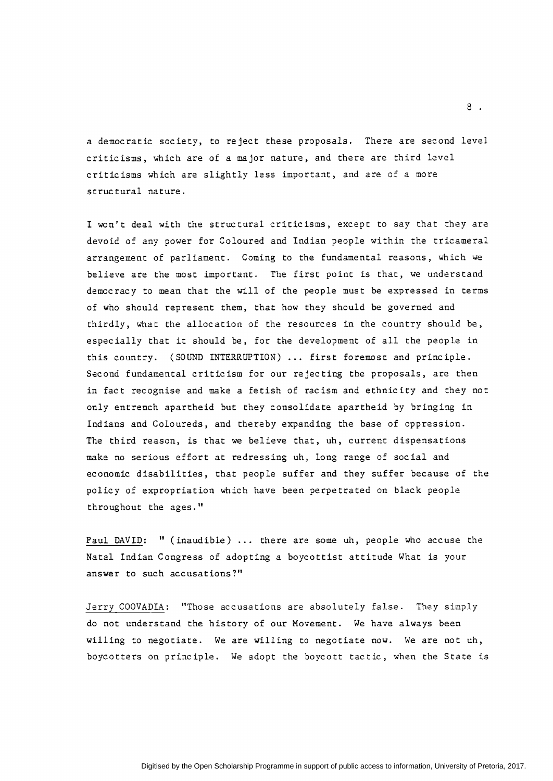a democratic society, to reject these proposals. There are second level criticisms, which are of a major nature, and there are third level criticisms which are slightly less important, and are of a more structural nature.

I won't deal with the structural criticisms, except to say that they are devoid of any power for Coloured and Indian people within the tricameral arrangement of parliament. Coming to the fundamental reasons, which we believe are the most important. The first point is that, we understand democracy to mean that the will of the people must be expressed in terms of who should represent them, that how they should be governed and thirdly, what the allocation of the resources in the country should be, especially that it should be, for the development of all the people in this country. (SOUND INTERRUPTION) ... first foremost and principle. Second fundamental criticism for our rejecting the proposals, are then in fact recognise and make a fetish of racism and ethnicity and they not only entrench apartheid but they consolidate apartheid by bringing in Indians and Coloureds, and thereby expanding the base of oppression. The third reason, is that we believe that, uh, current dispensations make no serious effort at redressing uh, long range of social and economic disabilities, that people suffer and they suffer because of the policy of expropriation which have been perpetrated on black people throughout the ages."

Paul DAVID: " (inaudible) ... there are some uh, people who accuse the Natal Indian Congress of adopting a boycottist attitude What is your answer to such accusations?"

Jerry COOVADIA: "Those accusations are absolutely false. They simply do not understand the history of our Movement. We have always been willing to negotiate. We are willing to negotiate now. We are not uh, boycotters on principle. We adopt the boycott tactic, when the State is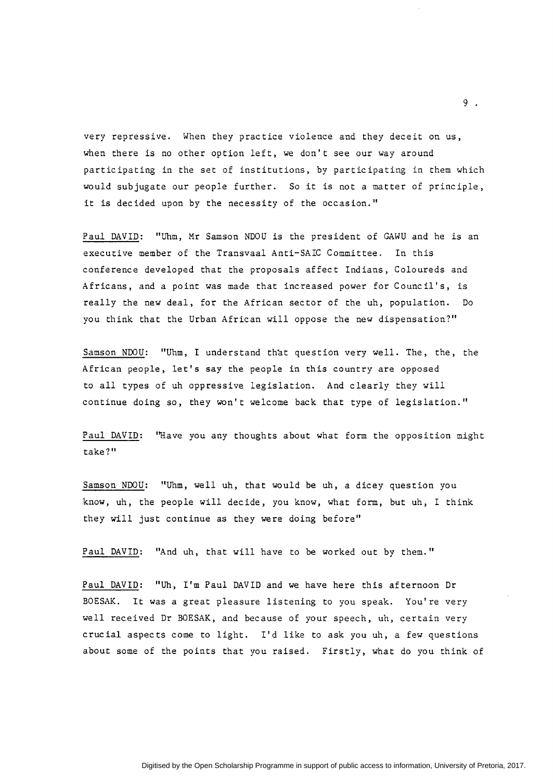very repressive. When they practice violence and they deceit on us, when there is no other option left, we don't see our way around participating in the set of institutions, by participating in them which would subjugate our people further. So it is not a matter of principle, it is decided upon by the necessity of the occasion."

Paul DAVID: "Uhm, Mr Samson NDOU is the president of GAWU and he is an executive member of the Transvaal Anti-SAIC Committee. In this conference developed that the proposals affect Indians, Coloureds and Africans, and a point was made that increased power for Council's, is really the new deal, for the African sector of the uh, population. Do you think that the Urban African will oppose the new dispensation?"

Samson NDOU: "Uhm, I understand that question very well. The, the, the African people, let's say the people in this country are opposed to all types of uh oppressive legislation. And clearly they will continue doing so, they won't welcome back that type of legislation."

Paul DAVID: "Have you any thoughts about what form the opposition might take?"

Samson NDOU: "Uhm, well uh, that would be uh, a dicey question you know, uh, the people will decide, you know, what form, but uh, I think they will just continue as they were doing before"

Paul DAVID: "And uh, that will have to be worked out by them."

Paul DAVID: "Uh, I'm Paul DAVID and we have here this afternoon Dr BOESAK. It was a great pleasure listening to you speak. You're very well received Dr BOESAK, and because of your speech, uh, certain very crucial aspects come to light. I'd like to ask you uh, a few questions about some of the points that you raised. Firstly, what do you think of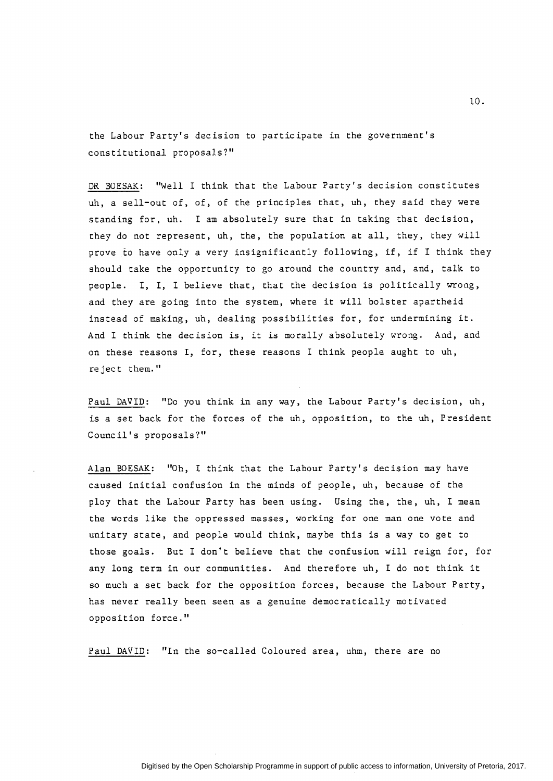the Labour Party's decision to participate in the government's constitutional proposals?"

DR BOESAK: "Well I think that the Labour Party's decision constitutes uh, a sell-out of, of, of the principles that, uh, they said they were standing for, uh. I am absolutely sure that in taking that decision, they do not represent, uh, the, the population at all, they, they will prove *to* have only a very insignificantly following, if, if I think they should take the opportunity to go around the country and, and, talk to people. I, I, I believe that, that the decision is politically wrong, and they are going into the system, where it will bolster apartheid instead of making, uh, dealing possibilities for, for undermining it. And I think the decision is, it is morally absolutely wrong. And, and on these reasons I, for, these reasons I think people aught to uh, reject them."

Paul DAVID: "Do you think in any way, the Labour Party's decision, uh, is a set back for the forces of the uh, opposition, to the uh, President Council's proposals?"

Alan BOESAK: "Oh, I think that the Labour Party's decision may have caused initial confusion in the minds of people, uh, because of the ploy that the Labour Party has been using. Using the, the, uh, I mean the words like the oppressed masses, working for one man one vote and unitary state, and people would think, maybe this is a way to get to those goals. But I don't believe that the confusion will reign for, for any long term in our communities. And therefore uh, I do not think it so much a set back for the opposition forces, because the Labour Party, has never really been seen as a genuine democratically motivated opposition force."

Paul DAVID: "In the so-called Coloured area, uhm, there are no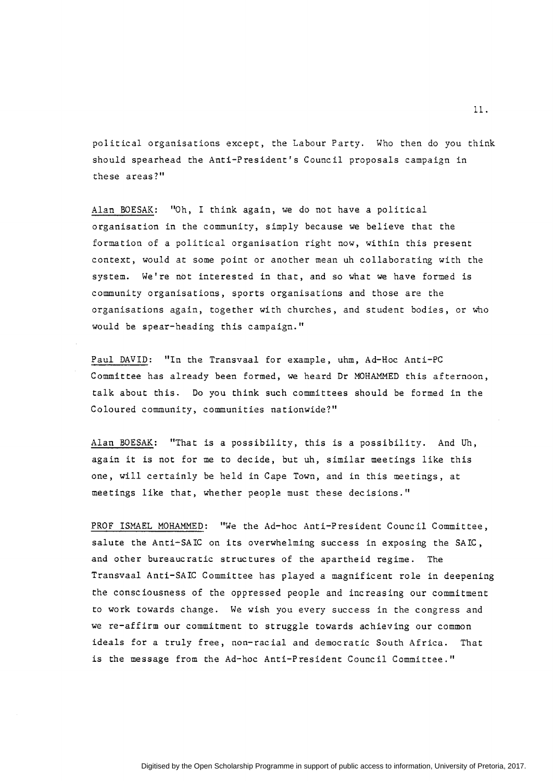political organisations except, the Labour Party. Who then do you think should spearhead the Anti-President's Council proposals campaign in these areas?"

Alan BOESAK: "Oh, I think again, we do not have a political organisation in the community, simply because we believe that the formation of a political organisation right now, within this present context, would at some point or another mean uh collaborating with the system. We're not interested in that, and so what we have formed is community organisations, sports organisations and those are the organisations again, together with churches, and student bodies, or who would be spear-heading this campaign."

Paul DAVID: "In the Transvaal for example, uhm, Ad-Hoc Anti-PC Committee has already been formed, we heard Dr MOHAMMED this afternoon, talk about this. Do you think such committees should be formed in the Coloured community, communities nationwide?"

Alan BOESAK: "That is a possibility, this is a possibility. And Uh, again it is not for me to decide, but uh, similar meetings like this one, will certainly be held in Cape Town, and in this meetings, at meetings like that, whether people must these decisions."

PROF ISMAEL MOHAMMED: "We the Ad-hoc Anti-President Council Committee, salute the Anti-SAIC on its overwhelming success in exposing the SAIC, and other bureaucratic structures of the apartheid regime. The Transvaal Anti-SAIC Committee has played a magnificent role in deepening the consciousness of the oppressed people and increasing our commitment to work towards change. We wish you every success in the congress and we re-affirm our commitment to struggle towards achieving our common ideals for a truly free, non-racial and democratic South Africa. That is the message from the Ad-hoc Anti-President Council Committee."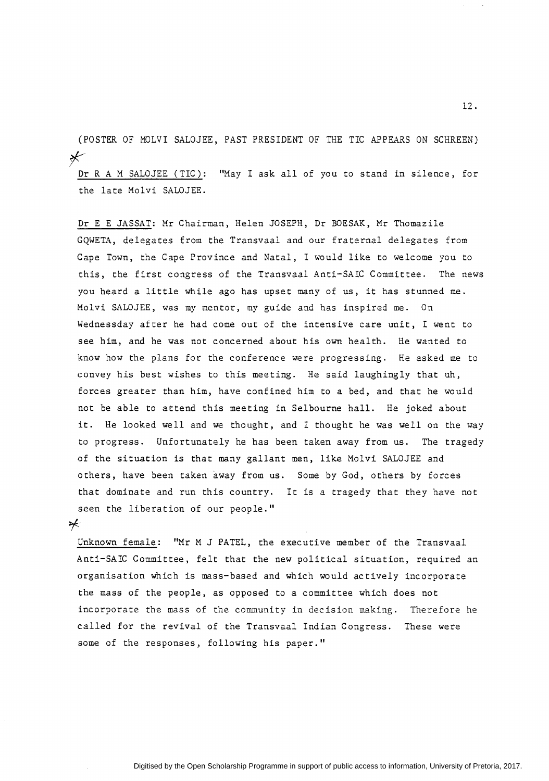(POSTER OF MOLVI SALOJEE, PAST PRESIDENT OF THE TIC APPEARS ON SCHREEN) *r-*

Dr R A M SALOJEE (TIC): "May I ask all of you to stand in silence, for the late Molvi SALOJEE.

Dr E E JASSAT: Mr Chairman, Helen JOSEPH, Dr BOESAK, Mr Thomazile GQWETA, delegates from the Transvaal and our fraternal delegates from Cape Town, the Cape Province and Natal, I would like to welcome you to this, the first congress of the Transvaal Anti-SAIC Committee. The news you heard a little while ago has upset many of us, it has stunned me. Molvi SALOJEE, was my mentor, my guide and has inspired me. On Wednessday after he had come out of the intensive care unit, I went to see him, and he was not concerned ahout his own health. He wanted to know how the plans for the conference were progressing. He asked me to convey his best wishes to this meeting. He said laughingly that uh, forces greater than him, have confined him to a bed, and that he would not be able to attend this meeting in Selbourne hall. He joked about it. He looked well and we thought, and I thought he was well on the way to progress. Unfortunately he has been taken away from us. The tragedy of the situation is that many gallant men, like Molvi SALOJEE and others, have been taken away from us. Some by God, others by forces that dominate and run this country. It is a tragedy that they have not seen the liberation of our people."

 $*$ 

Unknown female: "Mr M J PATEL, the executive member of the Transvaal Anti-SAIC Committee, felt that the new political situation, required an organisation which is mass-based and which would actively incorporate the mass of the people, as opposed to a committee which does not incorporate the mass of the community in decision making. Therefore he called for the revival of the Transvaal Indian Congress. These were some of the responses, following his paper."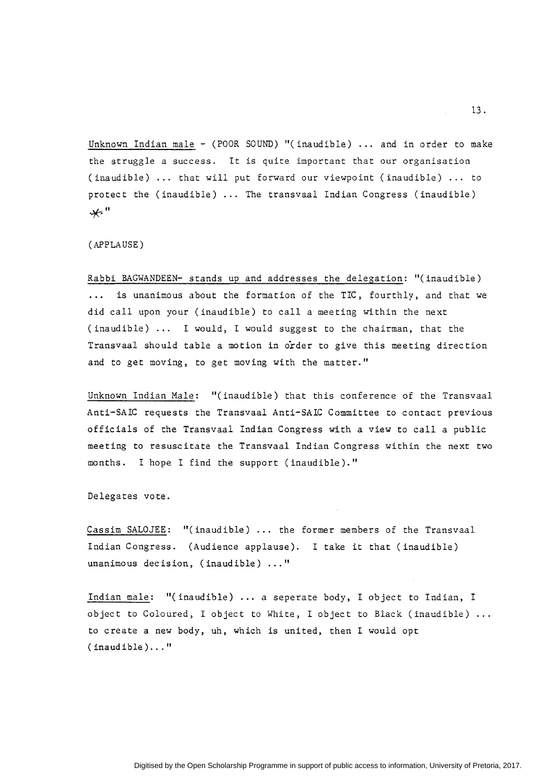Unknown Indian male - (POOR SOUND) "(inaudible) ... and in order to make the struggle a success. It is quite important that our organisation (inaudible) ... that will put forward our viewpoint (inaudible) ... to protect the (inaudible) ... The transvaal Indian Congress (inaudible) *•\*'* II

(APPLAUSE)

Rabbi BAGWANDEEN- stands up and addresses the delegation: "(inaudible) is unanimous about the formation of the TIC, fourthly, and that we  $\cdots$ did call upon your (inaudible) to call a meeting within the next (inaudible) ... I would, I would suggest to the chairman, that the Transvaal should table a motion in order to give this meeting direction and to get moving, to get moving with the matter."

Unknown Indian Male: "(inaudible) that this conference of the Transvaal Anti-SAIC requests the Transvaal Anti-SAIC Committee to contact previous officials of the Transvaal Indian Congress with a view to call a public meeting to resuscitate the Transvaal Indian Congress within the next two months. I hope I find the support (inaudible)."

Delegates vote.

Cassim SALOJEE: "(inaudible) . . . the former members of the Transvaal Indian Congress. (Audience applause). I take it that (inaudible) unanimous decision, (inaudible) ..."

Indian male: "(inaudible) ... a seperate body, I object to Indian, I object to Coloured, I object to White, I object to Black (inaudible) to create a new body, uh, which is united, then I would opt (inaudible) ... "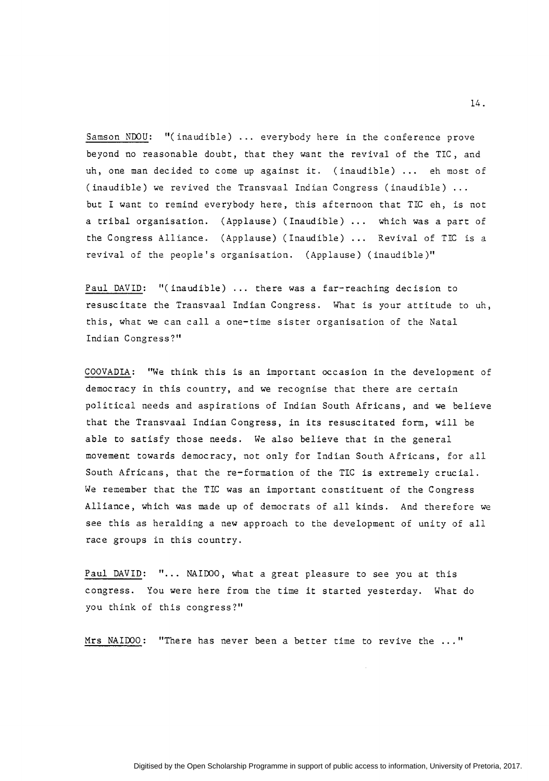Samson NDOU: "(inaudible) ... everybody here in the conference prove beyond no reasonable doubt, that they want the revival of the TIC, and uh, one man decided to come up against it. (inaudible) ... eh most of (inaudible) we revived the Transvaal Indian Congress (inaudible) but I want to remind everybody here, this afternoon that TIC eh, is not a tribal organisation. (Applause) (Inaudible) ... which was a part of the Congress Alliance. (Applause) (Inaudible)  $\ldots$  Revival of TIC is a revival of the people's organisation. (Applause) (inaudible)"

Paul DAVID: "(inaudible) ... there was a far-reaching decision to resuscitate the Transvaal Indian Congress. What is your attitude to uh, this, what we can call a one-time sister organisation of the Natal Indian Congress?"

COOVADIA: "We think this is an important occasion in the development of democracy in this country, and we recognise that there are certain political needs and aspirations of Indian South Africans, and we believe that the Transvaal Indian Congress, in its resuscitated form, will be able to satisfy those needs. We also believe that in the general movement towards democracy, not only for Indian South Africans, for all South Africans, that the re-formation of the TIC is extremely crucial. We remember that the TIC was an important constituent of the Congress Alliance, which was made up of democrats of all kinds. And therefore we see this as heralding a new approach to the development of unity of all race groups in this country.

Paul DAVID: "... NAIDOO, what a great pleasure to see you at this congress. You were here from the time it started yesterday. What do you think of this congress?"

Mrs NAIDOO: "There has never been a better time to revive the ..."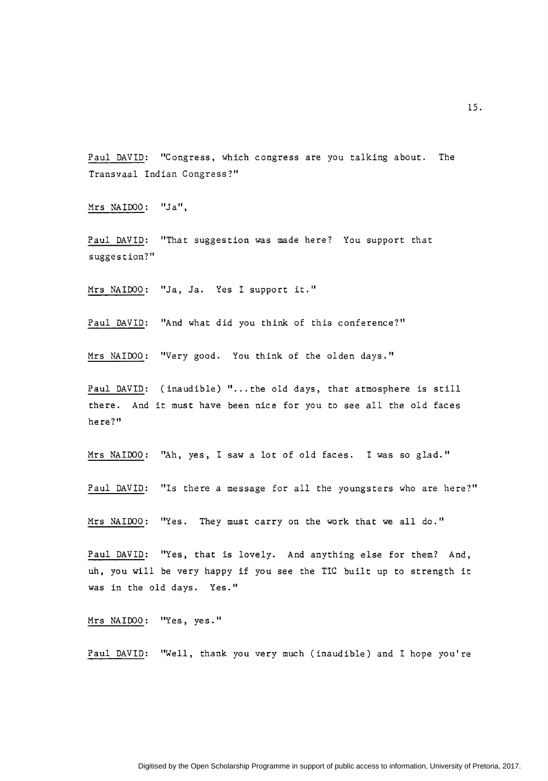Paul DAVID: "Congress, which congress are you talking about. The Transvaal Indian Congress?"

Mrs NAIDOO: "Ja",

Paul DAVID: "That suggestion was made here? You support that suggestion?"

Mrs NAIDOO: "Ja, Ja. Yes I support it."

Paul DAVID: "And what did you think of this conference?"

Mrs NAIDOO: "Very good. You think of the olden days."

Paul DAVID: (inaudible) "... the old days, that atmosphere is still there. And it must have been nice for you to see all the old faces here?"

Mrs NAIDOO: "Ah, yes, I saw a lot of old faces. I was so glad."

Paul DAVID: "Is there a message for all the youngsters who are here?"

Mrs NAIDOO: "Yes. They must carry on the work that we all do."

Paul DAVID: "Yes, that is lovely. And anything else for them? And, uh, you will be very happy if you see the TIC built up to strength it was in the old days. Yes."

Mrs NAIDOO: "Yes, yes."

Paul DAVID: "Well, thank you very much (inaudible) and I hope you're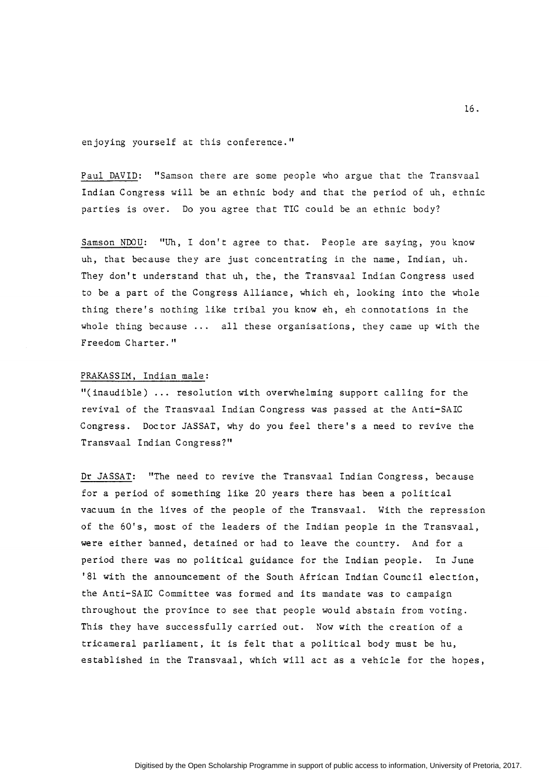enjoying yourself at this conference."

Paul DAVID: "Samson there are some people who argue that the Transvaal Indian Congress will be an ethnic body and that the period of uh, ethnic parties is over. Do you agree that TIC could be an ethnic body?

Samson NDOU: "Uh, I don't agree to that. People are saying, you know uh, that because they are just concentrating in the name, Indian, uh. They don't understand that uh, the, the Transvaal Indian Congress used to be a part of the Congress Alliance, which eh, looking into the whole thing there's nothing like tribal you know eh, eh connotations in the whole thing because  $\cdots$  all these organisations, they came up with the Freedom Charter."

### PRAKASSIM, Indian male:

"(inaudible) ... resolution with overwhelming support calling for the revival of the Transvaal Indian Congress was passed at the Anti-SAIC Congress. Doctor JASSAT, why do you feel there's a need to revive the Transvaal Indian Congress?"

Dr JASSAT: "The need to revive the Transvaal Indian Congress, because for a period of something like 20 years there has been a political vacuum in the lives of the people of the Transvaal. With the repression of the 60's, most of the leaders of the Indian people in the Transvaal, were either banned, detained or had to leave the country. And for a period there was no political guidance for the Indian people. In June '81 with the announcement of the South African Indian Council election, the Anti-SAIC Committee was formed and its mandate was to campaign throughout the province to see that people would abstain from voting. This they have successfully carried out. Now with the creation of a tricameral parliament, it is felt that a political body must be hu, established in the Transvaal, which will act as a vehicle for the hopes,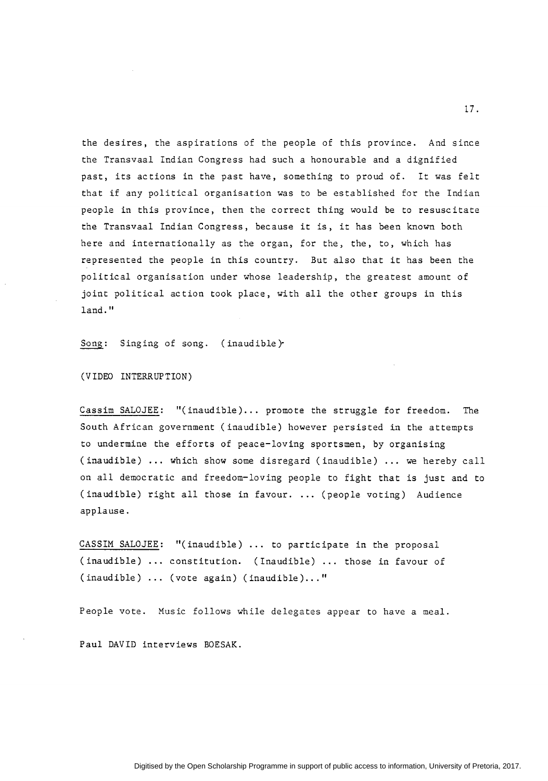the desires, the aspirations of the people of this province. And since the Transvaal Indian Congress had such a honourable and a dignified past, its actions in the past have, something to proud of. It was felt that if any political organisation was to be established for the Indian people in this province, then the correct thing would be to resuscitate the Transvaal Indian Congress, because it is, it has been known both here and internationally as the organ, for the, the, to, which has represented the people in this country. But also that it has been the political organisation under whose leadership, the greatest amount of joint political action took place, with all the other groups in this land."

Song: Singing of song. (inaudible)·

(VIDEO INTERRUPTION)

Cassim SALOJEE: "(inaudible) ... promote the struggle for freedom. The South African government (inaudible) however persisted in the attempts to undermine the efforts of peace-loving sportsmen, by organising (inaudible) ... which show some disregard (inaudible) ... we hereby call on all democratic and freedom-loving people to fight that is just and to (inaudible) right all those in favour .... (people voting) Audience applause.

CASSIM SALOJEE: "(inaudible) . . . to participate in the proposal (inaudible) ... constitution. (Inaudible) ... those in favour of  $($ inaudible)  $\ldots$  (vote again) (inaudible)..."

People vote. Music follows while delegates appear to have a meal.

Paul DAVID interviews BOESAK.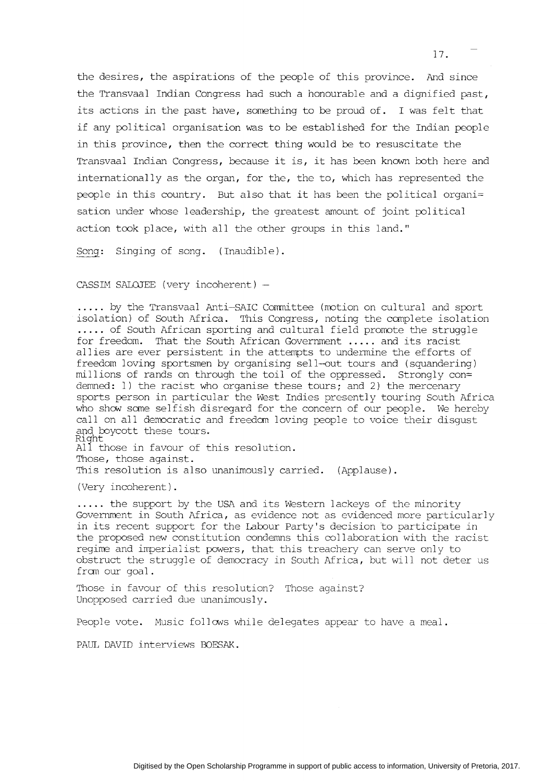the desires, the aspirations of the people of this province. And since the Transvaal Indian Congress had such a honourable and a dignified past, its actions in the past have, something to be proud of. I was felt that if any political organisation was to be established for the Indian people in this province, then the correct thing would be to resuscitate the Transvaal Indian Congress, because it is, it has been known both here and internationally as the organ, for the, the to, which has represented the people in this country. But also that it has been the political organi= sation under whose leadership, the greatest amount of joint political action took place, with all the other groups in this land."

Song: Singing of song. (Inaudible).

CASSIM SALOJEE (very incoherent) -

..... by the Transvaal Anti-SAIC Committee (motion on cultural and sport isolation) of South Africa. This Congress, noting the complete isolation ..... of South African sporting and cultural field promote the struggle for freedom. That the South African Government ..... and its racist allies are ever persistent in the attempts to undermine the efforts of freedom loving sportsmen by organising sell-out tours and (squandering) millions of rands on through the toil of the oppressed. Strongly con= demned: 1) the racist who organise these tours; and 2) the mercenary sports person in particular the West Indies presently touring South Africa who show some selfish disregard for the concern of our people. We hereby call on all democratic and freedom loving people to voice their disgust and boycott these tours. Right

Al1 those in favour of this resolution. Those, those against. This resolution is also unanimously carried. (Applause).

(Very incoherent) .

..... the support by the USA and its Western lackeys of the minority Government in South Africa, as evidence not as evidenced more particularly in its recent support for the Labour Party's decision to participate in the proposed new constitution condemns this collaboration with the racist regime and imperialist powers, that this treachery can serve only to obstruct the struggle of democracy in South Africa, but will not deter us fran our goal.

Those in favour of this resolution? Those against? Unopposed carried due unanimously.

People vote. Music follows while delegates appear to have a meal.

PAUL DAVID interviews BOESAK.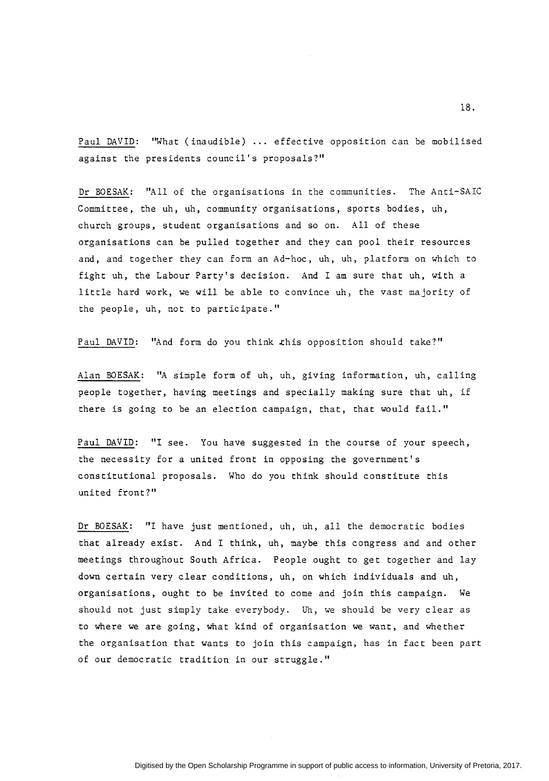Paul DAVID: "What (inaudible) ... effective opposition can be mobilised against the presidents council's proposals?"

Dr BOESAK: "All of the organisations in the communities. The Anti-SAIC Committee, the uh, uh, community organisations, sports bodies, uh, church groups, student organisations and so on. All of these organisations can be pulled together and they can pool their resources and, and together they can form an Ad-hoc, uh, uh, platform on which *to*  fight uh, the Labour Party's decision. And I am sure that uh, with a little hard work, we will be able *to* convince uh, the vast majority of the people, uh, not *to* participate."

Paul DAVID: "And form do you think this opposition should take?"

Alan BOESAK: "A simple form of uh, uh, giving information, uh, calling people together, having meetings and specially making sure that uh, if there is going *to* be an election campaign, that, that would fail."

Paul DAVID: "I see. You have suggested in the course of your speech, the necessity for a united front in opposing the government's constitutional proposals. Who do you think should constitute this united front?"

Dr BOESAK: "I have just mentioned, uh, uh, all the democratic bodies that already exist. And I think, uh, maybe this congress and and other meetings throughout South Africa. People ought *to* get together and lay down certain very clear conditions, uh, on which individuals and uh, organisations, ought *to* be invited *to* come and join this campaign. We should not just simply take everybody. Uh, we should be very clear as *to* where we are going, what kind of organisation we want, and whether the organisation that wants *to* join this campaign, has in fact been part of our democratic tradition in our struggle."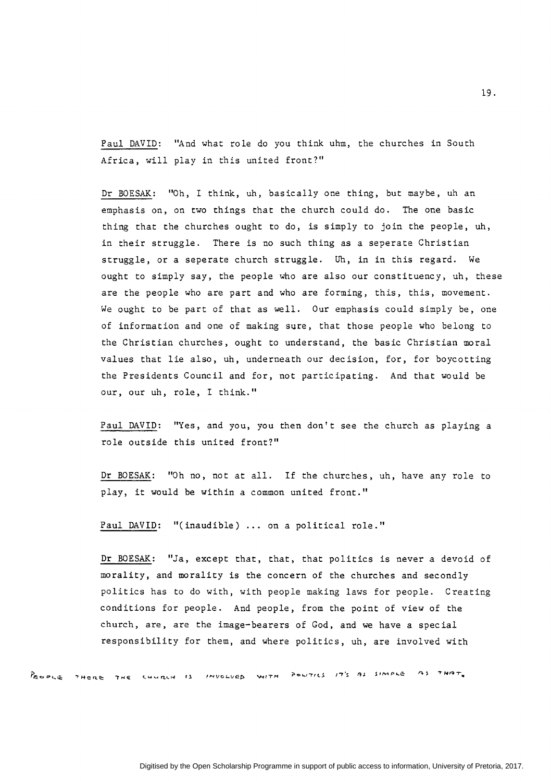Paul DAVID: "And what role do you think uhm, the churches in South Africa, will play in this united front?"

Dr BOESAK: "Oh, I think, uh, basically one thing, but maybe, uh an emphasis on, on two things that the church could do. The one basic thing that the churches ought to do, is simply to join the people, uh, in their struggle. There is no such thing as a seperate Christian struggle, or a seperate church struggle. Uh, in in this regard. We ought to simply say, the people who are also our constituency, uh, these are the people who are part and who are forming, this, this, movement. We ought to be part of that as well. Our emphasis could simply be, one of information and one of making sure, that those people who belong to the Christian churches, ought to understand, the basic Christian moral values that lie also, uh, underneath our decision, for, for boycotting the Presidents Council and for, not participating. And that would be our, our *uh,* role, I think."

Paul DAVID: "Yes, and you, you then don't see the church as playing a role outside this united front?"

Dr BOESAK: "Oh no, not at all. If the churches, uh, have any role to play, it would be within a common united front."

Paul DAVID: "(inaudible) ... on a political role."

Dr BOESAK: "Ja, except that, that, that politics is never a devoid of morality, and morality is the concern of the churches and secondly politics has to do with, with people making laws for people. Creating conditions for people. And people, from the point of view of the church, are, are the image-bearers of God, and we have a special responsibility for them, and where politics, uh, are involved with

REDPLE THORE THE CHURCH IS INVOLVED WITH POWTICS IT'S AS SIMPLE AS THAT.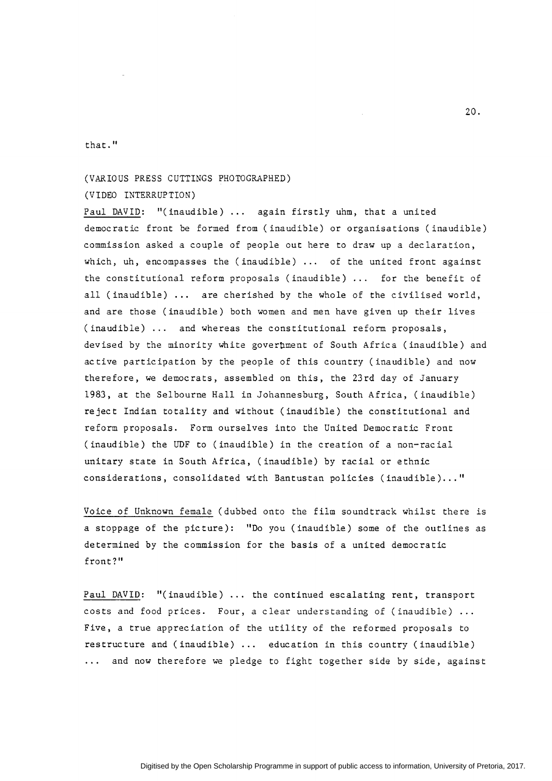that."

# (VARIOUS PRESS CUTTINGS PHOTOGRAPHED)

#### (VIDEO INTERRUPTION)

Paul DAVID: "(inaudible) ... again firstly uhm, that a united democratic front be formed from (inaudible) or organisations (inaudible) commission asked a couple of people out here to draw up a declaration, which, uh, encompasses the (inaudible) ... of the united front against the constitutional reform proposals (inaudible)  $\ldots$  for the benefit of all (inaudible) ... are cherished by the whole of the civilised world, and are those (inaudible) both women and men have given up their lives (inaudible) ... and whereas the constitutional reform proposals, devised by the minority white goverbment of South Africa (inaudible) and active participation by the people of this country (inaudible) and now therefore, we democrats, assembled on this, the 23rd day of January 1983, at the Selbourne Hall in Johannesburg, South Africa, (inaudible) reject Indian totality and without (inaudible) the constitutional and reform proposals. Form ourselves into the United Democratic Front (inaudible) the UDF to (inaudible) in the creation of a non-racial unitary state in South Africa, (inaudible) by racial or ethnic considerations, consolidated with Bantustan policies (inaudible) ... "

Voice of Unknown female (dubbed onto the film soundtrack whilst there is a stoppage of the picture): "Do you (inaudible) some of the outlines as determined by the commission for the basis of a united democratic front?"

Paul DAVID: "(inaudible) ... the continued escalating rent, transport costs and food prices. Four, a clear understanding of (inaudible) Five, a true appreciation of the utility of the reformed proposals to restructure and (inaudible) ... education in this country (inaudible) ... and now therefore we pledge to fight together side by side, against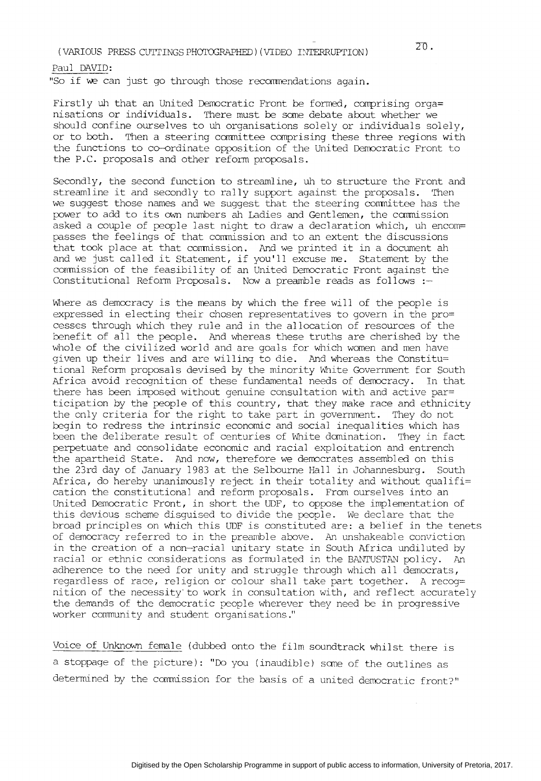(VARIOUS PRESS CUTTINGS PHOTOGRAPHED) (VIDEO INTERRUPTION)

Paul DAVID: "So if we can just go through those recommendations again.

Firstly uh that an United Democratic Front be formed, comprising orga= nisations or individuals. There must be some debate about whether we should confine ourselves to uh organisations solely or individuals solely, or to both. Then a steering committee comprising these three regions with the functions to co-ordinate opposition of the United Democratic Front to the P.C. proposals and other reform proposals.

Secondly, the second function to streamline, uh to structure the Front and streamline it and secondly to rally support against the proposals. Then we suggest those names and we suggest that the steering committee has the power to add to its own numbers ah Ladies and Gentlemen, the commission asked a couple of people last night to draw a declaration which, uh encom= passes the feelings of that commission and to an extent the discussions that took place at that conrnission. And we printed it in a document ah and we just called it Statement, if you'll excuse me. Statement by the commission of the feasibility of an United Democratic Front against the Constitutional Reform Proposals. Now a preamble reads as follows :-

Where as democracy is the means by which the free will of the people is expressed in electing their chosen representatives to govern in the pro= cesses through which they rule and in the allocation of resources of the benefit of all the people. And whereas these truths are cherished by the whole of the civilized world and are goals for which women and men have given up their lives and are willing to die. And whereas the Constitu= tional Reform proposals devised by the minority White Government for South Africa avoid recognition of these fundamental needs of democracy. In that there has been imposed without genuine consultation with and active par= ticipation by the people of this country, that they make race and ethnicity the only criteria for the right to take part in government. They do not begin to redress the intrinsic economic and social inequalities which has been the deliberate result of centuries of White domination. They in fact perpetuate and consolidate economic and racial exploitation and entrench the apartheid State. And now, therefore we democrates assembled on this the 23rd day of January 1983 at the Selbourne Hall in Johannesburg. South Africa, do hereby unanimously reject in their totality and without qualifi= cation the constitutional and reform proposals. From ourselves into an United Democratic Front, in short the UDF, to oppose the implementation of this devious scheme disguised to divide the people. We declare that the broad principles on which this UDF is constituted are: a belief in the tenets of democracy referred to in the preamble above. An unshakeable conviction in the creation of a non-racial unitary state in South Africa undiluted by racial or ethnic considerations as formulated in the BANTUSTAN policy. An adherence to the need for unity and struggle through which all democrats, regardless of race, religion or colour shall take part together. A recog= nition of the necessity·to work in consultation with, and reflect accurately the demands of the democratic people wherever they need be in progressive worker community and student organisations."

Voice of Unknown female (dubbed onto the film soundtrack whilst there is a stoppage of the picture): "Do you (inaudible) sane of the outlines as determined by the commission for the basis of a united democratic front?"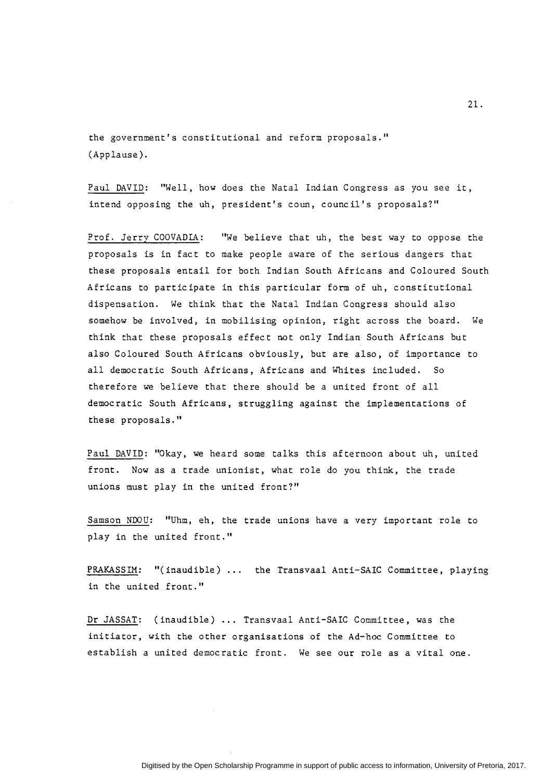the government's constitutional and reform proposals." (Applause).

Paul DAVID: "Well, how does the Natal Indian Congress as you see it, intend opposing the uh, president's coun, council's proposals?"

Prof. Jerrv COOVADIA: "We believe that uh, the best way to oppose the proposals is in fact to make people aware of the serious dangers that these proposals entail for both Indian South Africans and Coloured South Africans to participate in this particular form of uh, constitutional dispensation. We think that the Natal Indian Congress should also somehow be involved, in mobilising opinion, right across the board. We think that these proposals effect not only Indian South Africans but also Coloured South Africans obviously, but are also, of importance to all democratic South Africans, Africans and Whites included. So therefore we believe that there should be a united front of all democratic South Africans, struggling against the implementations of these proposals."

Paul DAVID: "Okay, we heard some talks this afternoon about uh, united front. Now as a trade unionist, what role do you think, the trade unions must play in the united front?"

Samson NDOU: "Uhm, eh, the trade unions have a very important role to play in the united front."

PRAKASSIM: "(inaudible) ... the Transvaal Anti-SAIC Committee, playing in the united front."

Dr JASSAT: (inaudible) ... Transvaal Anti-SAIC Committee, was the initiator, with the other organisations of the Ad-hoc Committee to establish a united democratic front. We see our role as a vital one.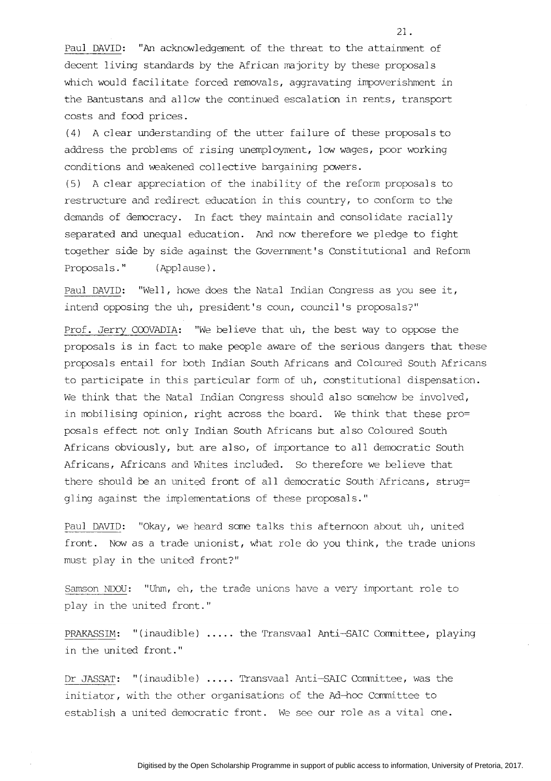Paul DAVID: "An acknowledgement of the threat to the attainment of decent living standards by the African majority by these proposals which would facilitate forced removals, aggravating impoverishment in the Bantustans and allow the continued escalation in rents, transport costs and food prices.

(4) A clear understanding of the utter failure of these proposals to address the problems of rising unemployment, low wages, poor working conditions and weakened collective bargaining powers.

(5) A clear appreciation of the inability of the reform proposals to restructure and redirect education in this country, to conform to the demands of democracy. In fact they maintain and consolidate racially separated and unequal education. And now therefore we pledge to fight together side by side against the Government's Constitutional and Reform Proposals." (Applause).

Paul DAVID: "Well, howe does the Natal Indian Congress as you see it, intend opposing the uh, president's coun, council's proposals?"

Prof. Jerry COOVADIA: "We believe that uh, the best way to oppose the proposals is in fact to make people aware of the serious dangers that these proposals entail for both Indian South Africans and Coloured South Africans to participate in this particular form of uh, constitutional dispensation. We think that the Natal Indian Congress should also somehow be involved, in mobilising opinion, right across the board. We think that these pro= posals effect not only Indian South Africans but also Coloured South Africans obviously, but are also, of importance to all democratic South Africans, Africans and Whites included. So therefore we believe that there should be an united front of all democratic South Africans, strug= gling against the implementations of these proposals."

Paul DAVID: "Okay, we heard some talks this afternoon about uh, united front. Now as a trade unionist, what role do you think, the trade unions must play in the united front?"

Samson NDOU: "Uhm, eh, the trade unions have a very important role to play in the united front."

PRAKASSIM: "(inaudible) ..... the Transvaal Anti-SAIC Conmittee, playing in the united front."

Dr JASSAT: "(inaudible) ..... Transvaal Anti-SAIC Conmittee, was the initiator, with the other organisations of the Ad-hoc Committee to establish a united democratic front. We see our role as a vital one.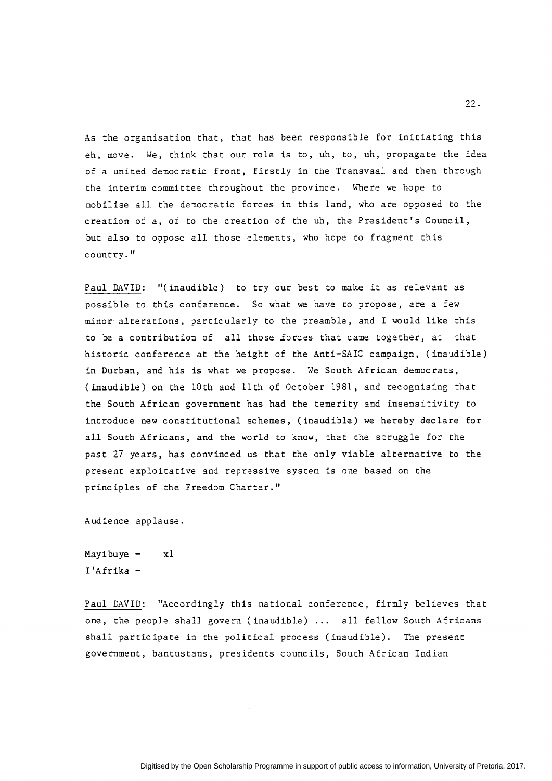As the organisation that, that has been responsible for initiating this eh, move. We, think that our role is to, uh, to, uh, propagate the idea of a united democratic front, firstly in the Transvaal and then through the interim committee throughout the province. Where we hope to mobilise all the democratic forces in this land, who are opposed to the creation of a, of to the creation of the uh, the President's Council, but also to oppose all those elements, who hope to fragment this country."

Paul DAVID: "(inaudible) to try our best to make it as relevant as possible to this conference. So what we have to propose, are a few minor alterations, particularly to the preamble, and I would like this to be a contribution of all those forces that came together, at that historic conference at the height of the Anti-SAIC campaign, (inaudible) in Durban, and his is what we propose. We South African democrats, (inaudible) on the lOth and 11th of October 1981, and recognising that the South African government has had the temerity and insensitivity to introduce new constitutional schemes, (inaudible) we hereby declare for all South Africans, and the world to know, that the struggle for the past 27 years, has convinced us that the only viable alternative to the present exploitative and repressive system is one based on the principles of the Freedom Charter."

Audience applause.

Mayibuye  $- x1$ I'Afrika-

Paul DAVID: "Accordingly this national conference, firmly believes that one, the people shall govern (inaudible) ... all fellow South Africans shall participate in the political process (inaudible). The present government, bantustans, presidents councils, South African Indian